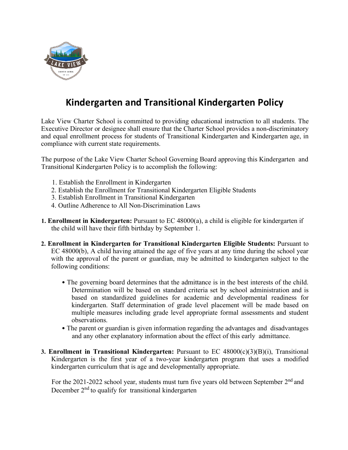

## **Kindergarten and Transitional Kindergarten Policy**

Lake View Charter School is committed to providing educational instruction to all students. The Executive Director or designee shall ensure that the Charter School provides a non-discriminatory and equal enrollment process for students of Transitional Kindergarten and Kindergarten age, in compliance with current state requirements.

The purpose of the Lake View Charter School Governing Board approving this Kindergarten and Transitional Kindergarten Policy is to accomplish the following:

- 1. Establish the Enrollment in Kindergarten
- 2. Establish the Enrollment for Transitional Kindergarten Eligible Students
- 3. Establish Enrollment in Transitional Kindergarten
- 4. Outline Adherence to All Non-Discrimination Laws
- **1. Enrollment in Kindergarten:** Pursuant to EC 48000(a), a child is eligible for kindergarten if the child will have their fifth birthday by September 1.
- **2. Enrollment in Kindergarten for Transitional Kindergarten Eligible Students:** Pursuant to EC 48000(b), A child having attained the age of five years at any time during the school year with the approval of the parent or guardian, may be admitted to kindergarten subject to the following conditions:
	- The governing board determines that the admittance is in the best interests of the child. Determination will be based on standard criteria set by school administration and is based on standardized guidelines for academic and developmental readiness for kindergarten. Staff determination of grade level placement will be made based on multiple measures including grade level appropriate formal assessments and student observations.
	- The parent or guardian is given information regarding the advantages and disadvantages and any other explanatory information about the effect of this early admittance.
- **3. Enrollment in Transitional Kindergarten:** Pursuant to EC 48000(c)(3)(B)(i), Transitional Kindergarten is the first year of a two-year kindergarten program that uses a modified kindergarten curriculum that is age and developmentally appropriate.

For the 2021-2022 school year, students must turn five years old between September 2<sup>nd</sup> and December  $2<sup>nd</sup>$  to qualify for transitional kindergarten